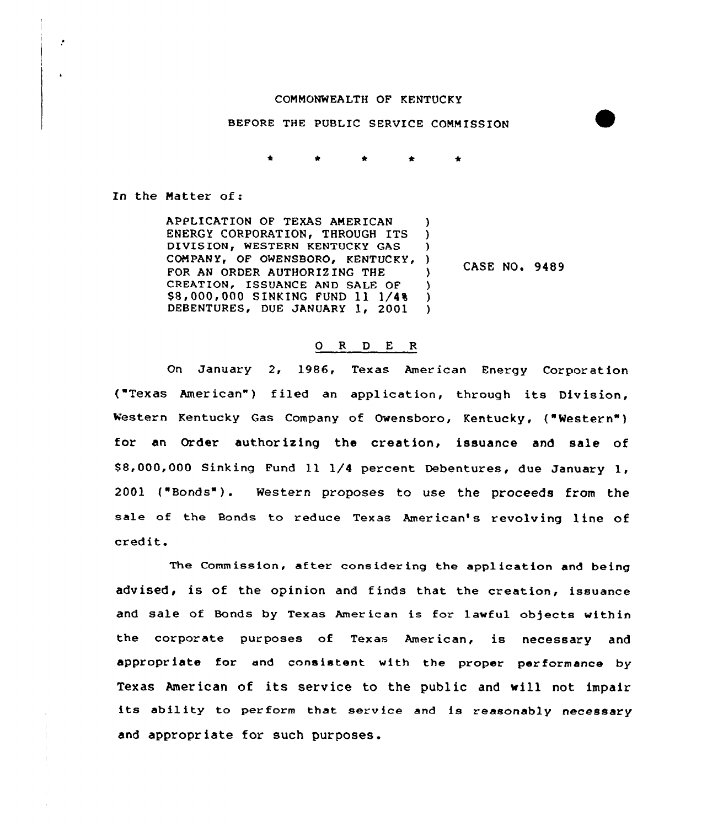## COMMONWEALTH OF KENTUCKY

## BEFORE THE PUBLIC SERVICE COMMISSION

In the Matter of:

ŀ.

APPLICATION OF TEXAS AMERICAN ١. ENERGY CORPORATION, THROUGH ITS  $\mathcal{L}$ DIVISION, WESTERN KENTUCKY GAS A. COMPANY, OF OWENSBORO, KENTUCKY, ) FOR AN ORDER AUTHORIZING THE CREATION, ISSUANCE AND SALE OF \$8,000,000 SINKING FUND 11 1/4% DEBENTURES, DUE JANUARY 1, 2001  $\lambda$ 

**CASE NO. 9489** 

## ORDER

On January 2, 1986, Texas American Energy Corporation ("Texas American") filed an application, through its Division, Western Kentucky Gas Company of Owensboro, Kentucky, ("Western") for an Order authorizing the creation, issuance and sale of \$8,000,000 Sinking Fund 11 1/4 percent Debentures, due January 1.  $2001$  ("Bonds"). Western proposes to use the proceeds from the sale of the Bonds to reduce Texas American's revolving line of credit.

The Commission, after considering the application and being advised, is of the opinion and finds that the creation, issuance and sale of Bonds by Texas American is for lawful objects within the corporate purposes of Texas American, is necessary and appropriate for and consistent with the proper performance by Texas American of its service to the public and will not impair its ability to perform that service and is reasonably necessary and appropriate for such purposes.